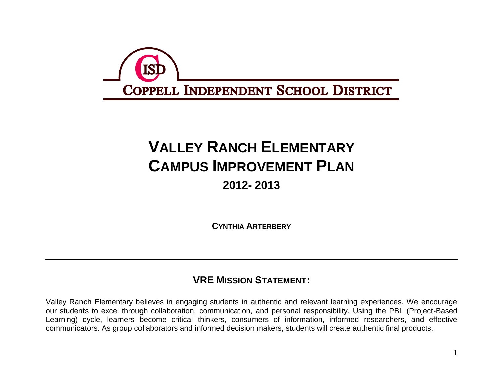

# **VALLEY RANCH ELEMENTARY CAMPUS IMPROVEMENT PLAN**

# **2012- 2013**

**CYNTHIA ARTERBERY**

## **VRE MISSION STATEMENT:**

Valley Ranch Elementary believes in engaging students in authentic and relevant learning experiences. We encourage our students to excel through collaboration, communication, and personal responsibility. Using the PBL (Project-Based Learning) cycle, learners become critical thinkers, consumers of information, informed researchers, and effective communicators. As group collaborators and informed decision makers, students will create authentic final products.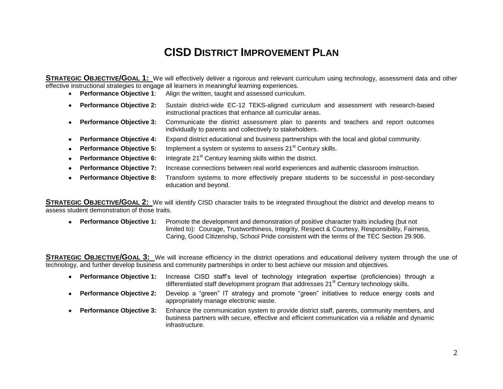# **CISD DISTRICT IMPROVEMENT PLAN**

**STRATEGIC OBJECTIVE/GOAL 1:** We will effectively deliver a rigorous and relevant curriculum using technology, assessment data and other effective instructional strategies to engage all learners in meaningful learning experiences.

- **Performance Objective 1**: Align the written, taught and assessed curriculum.
- **Performance Objective 2:** Sustain district-wide EC-12 TEKS-aligned curriculum and assessment with research-based instructional practices that enhance all curricular areas.
- **Performance Objective 3:** Communicate the district assessment plan to parents and teachers and report outcomes individually to parents and collectively to stakeholders.
- **Performance Objective 4:** Expand district educational and business partnerships with the local and global community.
- **Performance Objective 5:** Implement a system or systems to assess 21<sup>st</sup> Century skills.
- **Performance Objective 6:** Integrate 21<sup>st</sup> Century learning skills within the district.
- **Performance Objective 7:** Increase connections between real world experiences and authentic classroom instruction.
- **Performance Objective 8:** Transform systems to more effectively prepare students to be successful in post-secondary education and beyond.

**STRATEGIC OBJECTIVE/GOAL 2:** We will identify CISD character traits to be integrated throughout the district and develop means to assess student demonstration of those traits.

 **Performance Objective 1:** Promote the development and demonstration of positive character traits including (but not limited to): Courage, Trustworthiness, Integrity, Respect & Courtesy, Responsibility, Fairness, Caring, Good Citizenship, School Pride consistent with the terms of the TEC Section 29.906.

**STRATEGIC OBJECTIVE/GOAL 3:** We will increase efficiency in the district operations and educational delivery system through the use of technology, and further develop business and community partnerships in order to best achieve our mission and objectives.

- **Performance Objective 1:** Increase CISD staff's level of technology integration expertise (proficiencies) through a differentiated staff development program that addresses 21<sup>st</sup> Century technology skills.
- **Performance Objective 2:** Develop a "green" IT strategy and promote "green" initiatives to reduce energy costs and appropriately manage electronic waste.
- **Performance Objective 3:** Enhance the communication system to provide district staff, parents, community members, and business partners with secure, effective and efficient communication via a reliable and dynamic infrastructure.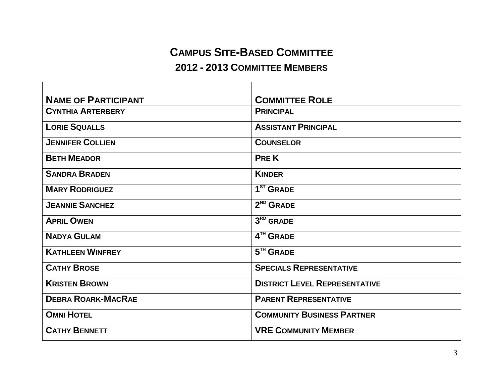# **CAMPUS SITE-BASED COMMITTEE**

#### **2012 - 2013 COMMITTEE MEMBERS**

| <b>NAME OF PARTICIPANT</b> | <b>COMMITTEE ROLE</b>                |
|----------------------------|--------------------------------------|
| <b>CYNTHIA ARTERBERY</b>   | <b>PRINCIPAL</b>                     |
| <b>LORIE SQUALLS</b>       | <b>ASSISTANT PRINCIPAL</b>           |
| <b>JENNIFER COLLIEN</b>    | <b>COUNSELOR</b>                     |
| <b>BETH MEADOR</b>         | <b>PREK</b>                          |
| <b>SANDRA BRADEN</b>       | <b>KINDER</b>                        |
| <b>MARY RODRIGUEZ</b>      | 1 <sup>ST</sup> GRADE                |
| <b>JEANNIE SANCHEZ</b>     | $2ND$ GRADE                          |
| <b>APRIL OWEN</b>          | $3RD$ GRADE                          |
| <b>NADYA GULAM</b>         | 4TH GRADE                            |
| <b>KATHLEEN WINFREY</b>    | $5TH$ GRADE                          |
| <b>CATHY BROSE</b>         | <b>SPECIALS REPRESENTATIVE</b>       |
| <b>KRISTEN BROWN</b>       | <b>DISTRICT LEVEL REPRESENTATIVE</b> |
| <b>DEBRA ROARK-MACRAE</b>  | <b>PARENT REPRESENTATIVE</b>         |
| <b>OMNI HOTEL</b>          | <b>COMMUNITY BUSINESS PARTNER</b>    |
| <b>CATHY BENNETT</b>       | <b>VRE COMMUNITY MEMBER</b>          |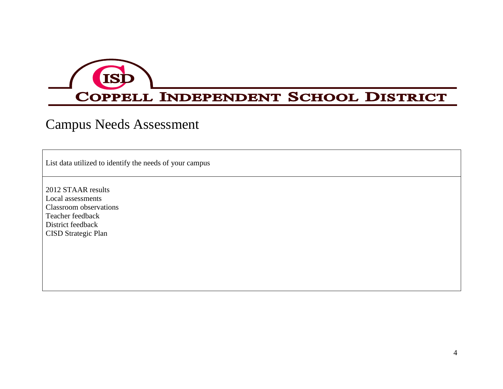

# Campus Needs Assessment

List data utilized to identify the needs of your campus

2012 STAAR results Local assessments Classroom observations Teacher feedback District feedback CISD Strategic Plan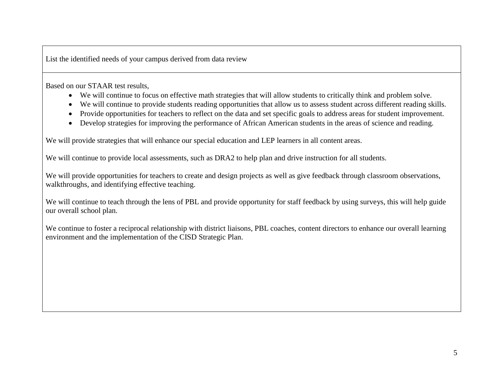List the identified needs of your campus derived from data review

Based on our STAAR test results,

- We will continue to focus on effective math strategies that will allow students to critically think and problem solve.
- We will continue to provide students reading opportunities that allow us to assess student across different reading skills.
- Provide opportunities for teachers to reflect on the data and set specific goals to address areas for student improvement.
- Develop strategies for improving the performance of African American students in the areas of science and reading.

We will provide strategies that will enhance our special education and LEP learners in all content areas.

We will continue to provide local assessments, such as DRA2 to help plan and drive instruction for all students.

We will provide opportunities for teachers to create and design projects as well as give feedback through classroom observations, walkthroughs, and identifying effective teaching.

We will continue to teach through the lens of PBL and provide opportunity for staff feedback by using surveys, this will help guide our overall school plan.

We continue to foster a reciprocal relationship with district liaisons, PBL coaches, content directors to enhance our overall learning environment and the implementation of the CISD Strategic Plan.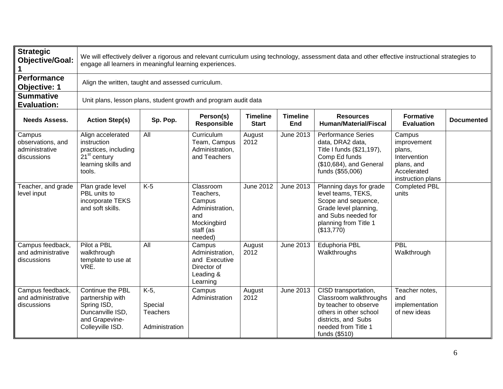| <b>Strategic</b><br><b>Objective/Goal:</b>                   |                                                                                                                       | We will effectively deliver a rigorous and relevant curriculum using technology, assessment data and other effective instructional strategies to<br>engage all learners in meaningful learning experiences. |                                                                                                   |                                 |                        |                                                                                                                                                                  |                                                                                                   |                   |  |  |  |  |
|--------------------------------------------------------------|-----------------------------------------------------------------------------------------------------------------------|-------------------------------------------------------------------------------------------------------------------------------------------------------------------------------------------------------------|---------------------------------------------------------------------------------------------------|---------------------------------|------------------------|------------------------------------------------------------------------------------------------------------------------------------------------------------------|---------------------------------------------------------------------------------------------------|-------------------|--|--|--|--|
| <b>Performance</b><br><b>Objective: 1</b>                    |                                                                                                                       | Align the written, taught and assessed curriculum.                                                                                                                                                          |                                                                                                   |                                 |                        |                                                                                                                                                                  |                                                                                                   |                   |  |  |  |  |
| <b>Summative</b><br><b>Evaluation:</b>                       | Unit plans, lesson plans, student growth and program audit data                                                       |                                                                                                                                                                                                             |                                                                                                   |                                 |                        |                                                                                                                                                                  |                                                                                                   |                   |  |  |  |  |
| <b>Needs Assess.</b>                                         | <b>Action Step(s)</b>                                                                                                 | Sp. Pop.                                                                                                                                                                                                    | Person(s)<br><b>Responsible</b>                                                                   | <b>Timeline</b><br><b>Start</b> | <b>Timeline</b><br>End | <b>Resources</b><br><b>Human/Material/Fiscal</b>                                                                                                                 | <b>Formative</b><br><b>Evaluation</b>                                                             | <b>Documented</b> |  |  |  |  |
| Campus<br>observations, and<br>administrative<br>discussions | Align accelerated<br>instruction<br>practices, including<br>21 <sup>st</sup> century<br>learning skills and<br>tools. | All                                                                                                                                                                                                         | Curriculum<br>Team, Campus<br>Administration,<br>and Teachers                                     | August<br>2012                  | June 2013              | <b>Performance Series</b><br>data, DRA2 data,<br>Title I funds (\$21,197),<br>Comp Ed funds<br>(\$10,684), and General<br>funds (\$55,006)                       | Campus<br>improvement<br>plans,<br>Intervention<br>plans, and<br>Accelerated<br>instruction plans |                   |  |  |  |  |
| Teacher, and grade<br>level input                            | Plan grade level<br>PBL units to<br>incorporate TEKS<br>and soft skills.                                              | $K-5$                                                                                                                                                                                                       | Classroom<br>Teachers,<br>Campus<br>Administration,<br>and<br>Mockingbird<br>staff (as<br>needed) | <b>June 2012</b>                | June 2013              | Planning days for grade<br>level teams, TEKS,<br>Scope and sequence,<br>Grade level planning,<br>and Subs needed for<br>planning from Title 1<br>(\$13,770)      | <b>Completed PBL</b><br>units                                                                     |                   |  |  |  |  |
| Campus feedback,<br>and administrative<br>discussions        | Pilot a PBL<br>walkthrough<br>template to use at<br>VRE.                                                              | All                                                                                                                                                                                                         | Campus<br>Administration,<br>and Executive<br>Director of<br>Leading &<br>Learning                | August<br>2012                  | June 2013              | Eduphoria PBL<br>Walkthroughs                                                                                                                                    | PBL<br>Walkthrough                                                                                |                   |  |  |  |  |
| Campus feedback,<br>and administrative<br>discussions        | Continue the PBL<br>partnership with<br>Spring ISD,<br>Duncanville ISD,<br>and Grapevine-<br>Colleyville ISD.         | K-5,<br>Special<br><b>Teachers</b><br>Administration                                                                                                                                                        | Campus<br>Administration                                                                          | August<br>2012                  | June 2013              | CISD transportation,<br>Classroom walkthroughs<br>by teacher to observe<br>others in other school<br>districts, and Subs<br>needed from Title 1<br>funds (\$510) | Teacher notes,<br>and<br>implementation<br>of new ideas                                           |                   |  |  |  |  |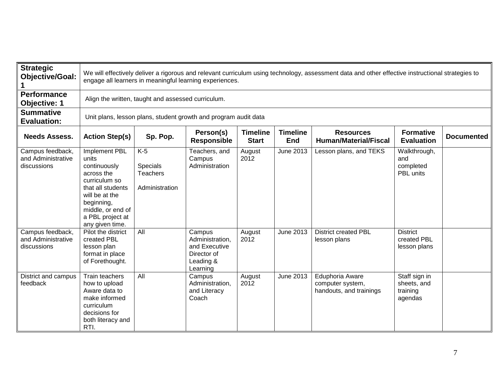| <b>Strategic</b><br><b>Objective/Goal:</b>            |                                                                                                                                                                                        | We will effectively deliver a rigorous and relevant curriculum using technology, assessment data and other effective instructional strategies to<br>engage all learners in meaningful learning experiences.                       |                                                                                    |                |                  |                                                                |                                                     |  |  |  |  |  |
|-------------------------------------------------------|----------------------------------------------------------------------------------------------------------------------------------------------------------------------------------------|-----------------------------------------------------------------------------------------------------------------------------------------------------------------------------------------------------------------------------------|------------------------------------------------------------------------------------|----------------|------------------|----------------------------------------------------------------|-----------------------------------------------------|--|--|--|--|--|
| <b>Performance</b><br><b>Objective: 1</b>             |                                                                                                                                                                                        | Align the written, taught and assessed curriculum.                                                                                                                                                                                |                                                                                    |                |                  |                                                                |                                                     |  |  |  |  |  |
| <b>Summative</b><br><b>Evaluation:</b>                |                                                                                                                                                                                        | Unit plans, lesson plans, student growth and program audit data                                                                                                                                                                   |                                                                                    |                |                  |                                                                |                                                     |  |  |  |  |  |
| <b>Needs Assess.</b>                                  | <b>Action Step(s)</b>                                                                                                                                                                  | Person(s)<br><b>Timeline</b><br><b>Timeline</b><br><b>Formative</b><br><b>Resources</b><br>Sp. Pop.<br><b>Documented</b><br><b>Responsible</b><br><b>Human/Material/Fiscal</b><br><b>Start</b><br><b>End</b><br><b>Evaluation</b> |                                                                                    |                |                  |                                                                |                                                     |  |  |  |  |  |
| Campus feedback,<br>and Administrative<br>discussions | Implement PBL<br>units<br>continuously<br>across the<br>curriculum so<br>that all students<br>will be at the<br>beginning,<br>middle, or end of<br>a PBL project at<br>any given time. | $K-5$<br>Specials<br><b>Teachers</b><br>Administration                                                                                                                                                                            | Teachers, and<br>Campus<br>Administration                                          | August<br>2012 | June 2013        | Lesson plans, and TEKS                                         | Walkthrough,<br>and<br>completed<br>PBL units       |  |  |  |  |  |
| Campus feedback,<br>and Administrative<br>discussions | Pilot the district<br>created PBL<br>lesson plan<br>format in place<br>of Forethought.                                                                                                 | All                                                                                                                                                                                                                               | Campus<br>Administration,<br>and Executive<br>Director of<br>Leading &<br>Learning | August<br>2012 | <b>June 2013</b> | <b>District created PBL</b><br>lesson plans                    | <b>District</b><br>created PBL<br>lesson plans      |  |  |  |  |  |
| District and campus<br>feedback                       | Train teachers<br>how to upload<br>Aware data to<br>make informed<br>curriculum<br>decisions for<br>both literacy and<br>RTI.                                                          | All                                                                                                                                                                                                                               | Campus<br>Administration,<br>and Literacy<br>Coach                                 | August<br>2012 | <b>June 2013</b> | Eduphoria Aware<br>computer system,<br>handouts, and trainings | Staff sign in<br>sheets, and<br>training<br>agendas |  |  |  |  |  |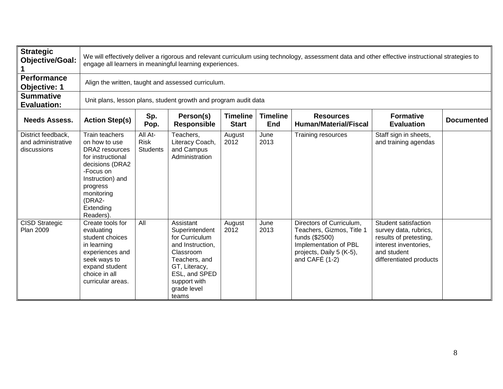| <b>Strategic</b><br><b>Objective/Goal:</b>              |                                                                                                                                                                                          | We will effectively deliver a rigorous and relevant curriculum using technology, assessment data and other effective instructional strategies to<br>engage all learners in meaningful learning experiences. |                                                                                                                                                                           |                                 |                        |                                                                                                                                                  |                                                                                                                                            |                   |  |  |  |  |
|---------------------------------------------------------|------------------------------------------------------------------------------------------------------------------------------------------------------------------------------------------|-------------------------------------------------------------------------------------------------------------------------------------------------------------------------------------------------------------|---------------------------------------------------------------------------------------------------------------------------------------------------------------------------|---------------------------------|------------------------|--------------------------------------------------------------------------------------------------------------------------------------------------|--------------------------------------------------------------------------------------------------------------------------------------------|-------------------|--|--|--|--|
| Performance<br>Objective: 1                             |                                                                                                                                                                                          | Align the written, taught and assessed curriculum.                                                                                                                                                          |                                                                                                                                                                           |                                 |                        |                                                                                                                                                  |                                                                                                                                            |                   |  |  |  |  |
| <b>Summative</b><br><b>Evaluation:</b>                  |                                                                                                                                                                                          |                                                                                                                                                                                                             | Unit plans, lesson plans, student growth and program audit data                                                                                                           |                                 |                        |                                                                                                                                                  |                                                                                                                                            |                   |  |  |  |  |
| <b>Needs Assess.</b>                                    | <b>Action Step(s)</b>                                                                                                                                                                    | Sp.<br>Pop.                                                                                                                                                                                                 | Person(s)<br><b>Responsible</b>                                                                                                                                           | <b>Timeline</b><br><b>Start</b> | <b>Timeline</b><br>End | <b>Resources</b><br><b>Human/Material/Fiscal</b>                                                                                                 | <b>Formative</b><br><b>Evaluation</b>                                                                                                      | <b>Documented</b> |  |  |  |  |
| District feedback,<br>and administrative<br>discussions | Train teachers<br>on how to use<br>DRA2 resources<br>for instructional<br>decisions (DRA2<br>-Focus on<br>Instruction) and<br>progress<br>monitoring<br>(DRA2-<br>Extending<br>Readers). | All At-<br><b>Risk</b><br><b>Students</b>                                                                                                                                                                   | Teachers,<br>Literacy Coach,<br>and Campus<br>Administration                                                                                                              | August<br>2012                  | June<br>2013           | Training resources                                                                                                                               | Staff sign in sheets,<br>and training agendas                                                                                              |                   |  |  |  |  |
| <b>CISD Strategic</b><br><b>Plan 2009</b>               | Create tools for<br>evaluating<br>student choices<br>in learning<br>experiences and<br>seek ways to<br>expand student<br>choice in all<br>curricular areas.                              | All                                                                                                                                                                                                         | Assistant<br>Superintendent<br>for Curriculum<br>and Instruction,<br>Classroom<br>Teachers, and<br>GT, Literacy,<br>ESL, and SPED<br>support with<br>grade level<br>teams | August<br>2012                  | June<br>2013           | Directors of Curriculum,<br>Teachers, Gizmos, Title 1<br>funds (\$2500)<br>Implementation of PBL<br>projects, Daily 5 (K-5),<br>and CAFE $(1-2)$ | Student satisfaction<br>survey data, rubrics,<br>results of pretesting,<br>interest inventories,<br>and student<br>differentiated products |                   |  |  |  |  |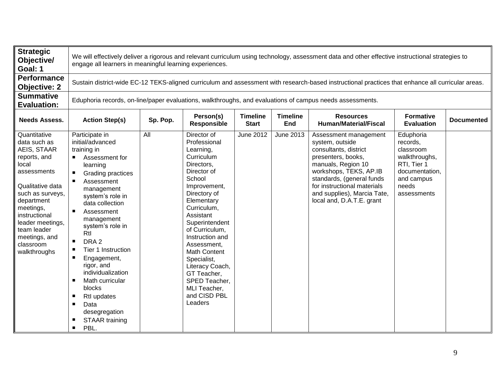| <b>Strategic</b><br>Objective/<br>Goal: 1                                                                                                                                                                                                                |                                                                                                                                                                                                                                                                                                                                                                                                                                                                              | We will effectively deliver a rigorous and relevant curriculum using technology, assessment data and other effective instructional strategies to<br>engage all learners in meaningful learning experiences. |                                                                                                                                                                                                                                                                                                                                                                            |                                 |                               |                                                                                                                                                                                                                                                                 |                                                                                                                            |                   |  |  |  |  |
|----------------------------------------------------------------------------------------------------------------------------------------------------------------------------------------------------------------------------------------------------------|------------------------------------------------------------------------------------------------------------------------------------------------------------------------------------------------------------------------------------------------------------------------------------------------------------------------------------------------------------------------------------------------------------------------------------------------------------------------------|-------------------------------------------------------------------------------------------------------------------------------------------------------------------------------------------------------------|----------------------------------------------------------------------------------------------------------------------------------------------------------------------------------------------------------------------------------------------------------------------------------------------------------------------------------------------------------------------------|---------------------------------|-------------------------------|-----------------------------------------------------------------------------------------------------------------------------------------------------------------------------------------------------------------------------------------------------------------|----------------------------------------------------------------------------------------------------------------------------|-------------------|--|--|--|--|
| Performance<br><b>Objective: 2</b>                                                                                                                                                                                                                       |                                                                                                                                                                                                                                                                                                                                                                                                                                                                              | Sustain district-wide EC-12 TEKS-aligned curriculum and assessment with research-based instructional practices that enhance all curricular areas.                                                           |                                                                                                                                                                                                                                                                                                                                                                            |                                 |                               |                                                                                                                                                                                                                                                                 |                                                                                                                            |                   |  |  |  |  |
| <b>Summative</b><br><b>Evaluation:</b>                                                                                                                                                                                                                   |                                                                                                                                                                                                                                                                                                                                                                                                                                                                              | Eduphoria records, on-line/paper evaluations, walkthroughs, and evaluations of campus needs assessments.                                                                                                    |                                                                                                                                                                                                                                                                                                                                                                            |                                 |                               |                                                                                                                                                                                                                                                                 |                                                                                                                            |                   |  |  |  |  |
| <b>Needs Assess.</b>                                                                                                                                                                                                                                     | <b>Action Step(s)</b>                                                                                                                                                                                                                                                                                                                                                                                                                                                        | Sp. Pop.                                                                                                                                                                                                    | Person(s)<br><b>Responsible</b>                                                                                                                                                                                                                                                                                                                                            | <b>Timeline</b><br><b>Start</b> | <b>Timeline</b><br><b>End</b> | <b>Resources</b><br><b>Human/Material/Fiscal</b>                                                                                                                                                                                                                | <b>Formative</b><br><b>Evaluation</b>                                                                                      | <b>Documented</b> |  |  |  |  |
| Quantitative<br>data such as<br>AEIS, STAAR<br>reports, and<br>local<br>assessments<br>Qualitative data<br>such as surveys,<br>department<br>meetings,<br>instructional<br>leader meetings,<br>team leader<br>meetings, and<br>classroom<br>walkthroughs | Participate in<br>initial/advanced<br>training in<br>Assessment for<br>learning<br>Grading practices<br>п<br>Assessment<br>management<br>system's role in<br>data collection<br>Assessment<br>management<br>system's role in<br>Rtl<br>DRA <sub>2</sub><br>$\blacksquare$<br>Tier 1 Instruction<br>Engagement,<br>rigor, and<br>individualization<br>Math curricular<br>п<br>blocks<br>Rtl updates<br>п<br>Data<br>desegregation<br>STAAR training<br>PBL.<br>$\blacksquare$ | All                                                                                                                                                                                                         | Director of<br>Professional<br>Learning,<br>Curriculum<br>Directors,<br>Director of<br>School<br>Improvement,<br>Directory of<br>Elementary<br>Curriculum,<br>Assistant<br>Superintendent<br>of Curriculum,<br>Instruction and<br>Assessment,<br>Math Content<br>Specialist,<br>Literacy Coach,<br>GT Teacher,<br>SPED Teacher,<br>MLI Teacher,<br>and CISD PBL<br>Leaders | June 2012                       | June 2013                     | Assessment management<br>system, outside<br>consultants, district<br>presenters, books,<br>manuals, Region 10<br>workshops, TEKS, AP.IB<br>standards, (general funds<br>for instructional materials<br>and supplies), Marcia Tate,<br>local and, D.A.T.E. grant | Eduphoria<br>records,<br>classroom<br>walkthroughs,<br>RTI, Tier 1<br>documentation,<br>and campus<br>needs<br>assessments |                   |  |  |  |  |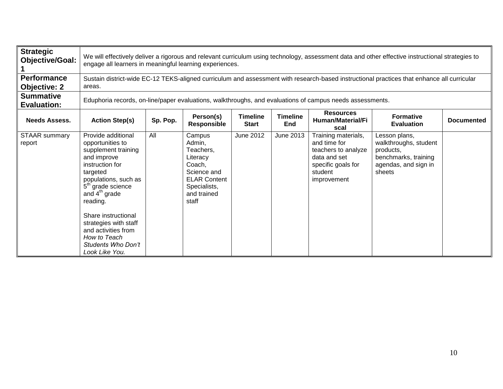| <b>Strategic</b><br><b>Objective/Goal:</b> |                                                                                                                                                                                                                                                                                                                                    | We will effectively deliver a rigorous and relevant curriculum using technology, assessment data and other effective instructional strategies to<br>engage all learners in meaningful learning experiences. |                                                                                                                                   |                                 |                        |                                                                                                                            |                                                                                                               |                   |  |  |  |
|--------------------------------------------|------------------------------------------------------------------------------------------------------------------------------------------------------------------------------------------------------------------------------------------------------------------------------------------------------------------------------------|-------------------------------------------------------------------------------------------------------------------------------------------------------------------------------------------------------------|-----------------------------------------------------------------------------------------------------------------------------------|---------------------------------|------------------------|----------------------------------------------------------------------------------------------------------------------------|---------------------------------------------------------------------------------------------------------------|-------------------|--|--|--|
| <b>Performance</b><br><b>Objective: 2</b>  | areas.                                                                                                                                                                                                                                                                                                                             | Sustain district-wide EC-12 TEKS-aligned curriculum and assessment with research-based instructional practices that enhance all curricular                                                                  |                                                                                                                                   |                                 |                        |                                                                                                                            |                                                                                                               |                   |  |  |  |
| <b>Summative</b><br><b>Evaluation:</b>     |                                                                                                                                                                                                                                                                                                                                    | Eduphoria records, on-line/paper evaluations, walkthroughs, and evaluations of campus needs assessments.                                                                                                    |                                                                                                                                   |                                 |                        |                                                                                                                            |                                                                                                               |                   |  |  |  |
| <b>Needs Assess.</b>                       | <b>Action Step(s)</b>                                                                                                                                                                                                                                                                                                              | Sp. Pop.                                                                                                                                                                                                    | Person(s)<br><b>Responsible</b>                                                                                                   | <b>Timeline</b><br><b>Start</b> | <b>Timeline</b><br>End | <b>Resources</b><br>Human/Material/Fi<br>scal                                                                              | <b>Formative</b><br><b>Evaluation</b>                                                                         | <b>Documented</b> |  |  |  |
| STAAR summary<br>report                    | Provide additional<br>opportunities to<br>supplement training<br>and improve<br>instruction for<br>targeted<br>populations, such as<br>5 <sup>th</sup> grade science<br>and $4th$ grade<br>reading.<br>Share instructional<br>strategies with staff<br>and activities from<br>How to Teach<br>Students Who Don't<br>Look Like You. | All                                                                                                                                                                                                         | Campus<br>Admin,<br>Teachers,<br>Literacy<br>Coach,<br>Science and<br><b>ELAR Content</b><br>Specialists,<br>and trained<br>staff | <b>June 2012</b>                | June 2013              | Training materials,<br>and time for<br>teachers to analyze<br>data and set<br>specific goals for<br>student<br>improvement | Lesson plans,<br>walkthroughs, student<br>products,<br>benchmarks, training<br>agendas, and sign in<br>sheets |                   |  |  |  |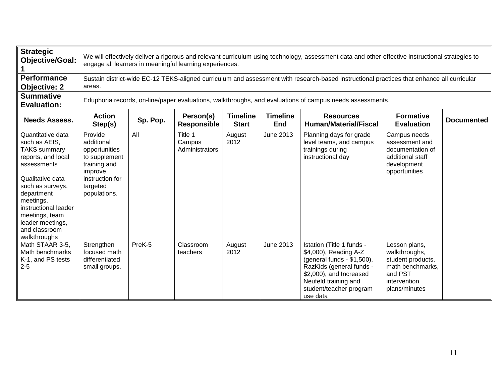| <b>Strategic</b><br><b>Objective/Goal:</b>                                                                                                                                                                                                                       |                                                                                                                                   | We will effectively deliver a rigorous and relevant curriculum using technology, assessment data and other effective instructional strategies to<br>engage all learners in meaningful learning experiences.                |                                     |                |                  |                                                                                                                                                                                                        |                                                                                                                     |  |  |  |  |
|------------------------------------------------------------------------------------------------------------------------------------------------------------------------------------------------------------------------------------------------------------------|-----------------------------------------------------------------------------------------------------------------------------------|----------------------------------------------------------------------------------------------------------------------------------------------------------------------------------------------------------------------------|-------------------------------------|----------------|------------------|--------------------------------------------------------------------------------------------------------------------------------------------------------------------------------------------------------|---------------------------------------------------------------------------------------------------------------------|--|--|--|--|
| <b>Performance</b><br><b>Objective: 2</b>                                                                                                                                                                                                                        | areas.                                                                                                                            |                                                                                                                                                                                                                            |                                     |                |                  | Sustain district-wide EC-12 TEKS-aligned curriculum and assessment with research-based instructional practices that enhance all curricular                                                             |                                                                                                                     |  |  |  |  |
| <b>Summative</b><br><b>Evaluation:</b>                                                                                                                                                                                                                           |                                                                                                                                   |                                                                                                                                                                                                                            |                                     |                |                  | Eduphoria records, on-line/paper evaluations, walkthroughs, and evaluations of campus needs assessments.                                                                                               |                                                                                                                     |  |  |  |  |
| <b>Needs Assess.</b>                                                                                                                                                                                                                                             | <b>Action</b><br>Step(s)                                                                                                          | <b>Timeline</b><br><b>Timeline</b><br>Person(s)<br><b>Formative</b><br><b>Resources</b><br>Sp. Pop.<br><b>Documented</b><br><b>Responsible</b><br><b>Start</b><br><b>Human/Material/Fiscal</b><br><b>Evaluation</b><br>End |                                     |                |                  |                                                                                                                                                                                                        |                                                                                                                     |  |  |  |  |
| Quantitative data<br>such as AEIS,<br><b>TAKS summary</b><br>reports, and local<br>assessments<br>Qualitative data<br>such as surveys,<br>department<br>meetings,<br>instructional leader<br>meetings, team<br>leader meetings,<br>and classroom<br>walkthroughs | Provide<br>additional<br>opportunities<br>to supplement<br>training and<br>improve<br>instruction for<br>targeted<br>populations. | All                                                                                                                                                                                                                        | Title 1<br>Campus<br>Administrators | August<br>2012 | June 2013        | Planning days for grade<br>level teams, and campus<br>trainings during<br>instructional day                                                                                                            | Campus needs<br>assessment and<br>documentation of<br>additional staff<br>development<br>opportunities              |  |  |  |  |
| Math STAAR 3-5,<br>Math benchmarks<br>K-1, and PS tests<br>$2 - 5$                                                                                                                                                                                               | Strengthen<br>focused math<br>differentiated<br>small groups.                                                                     | PreK-5                                                                                                                                                                                                                     | Classroom<br>teachers               | August<br>2012 | <b>June 2013</b> | Istation (Title 1 funds -<br>\$4,000), Reading A-Z<br>(general funds - \$1,500),<br>RazKids (general funds -<br>\$2,000), and Increased<br>Neufeld training and<br>student/teacher program<br>use data | Lesson plans,<br>walkthroughs,<br>student products,<br>math benchmarks.<br>and PST<br>intervention<br>plans/minutes |  |  |  |  |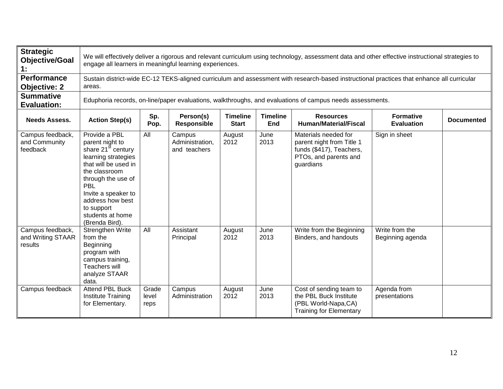| <b>Strategic</b><br><b>Objective/Goal</b><br>1:  |                                                                                                                                                                                                                                                                | We will effectively deliver a rigorous and relevant curriculum using technology, assessment data and other effective instructional strategies to<br>engage all learners in meaningful learning experiences.                   |                                           |                |              |                                                                                                                     |                                    |  |  |  |  |  |
|--------------------------------------------------|----------------------------------------------------------------------------------------------------------------------------------------------------------------------------------------------------------------------------------------------------------------|-------------------------------------------------------------------------------------------------------------------------------------------------------------------------------------------------------------------------------|-------------------------------------------|----------------|--------------|---------------------------------------------------------------------------------------------------------------------|------------------------------------|--|--|--|--|--|
| <b>Performance</b><br><b>Objective: 2</b>        | areas.                                                                                                                                                                                                                                                         | Sustain district-wide EC-12 TEKS-aligned curriculum and assessment with research-based instructional practices that enhance all curricular                                                                                    |                                           |                |              |                                                                                                                     |                                    |  |  |  |  |  |
| <b>Summative</b><br><b>Evaluation:</b>           |                                                                                                                                                                                                                                                                |                                                                                                                                                                                                                               |                                           |                |              | Eduphoria records, on-line/paper evaluations, walkthroughs, and evaluations of campus needs assessments.            |                                    |  |  |  |  |  |
| <b>Needs Assess.</b>                             | <b>Action Step(s)</b>                                                                                                                                                                                                                                          | Sp.<br>Person(s)<br><b>Timeline</b><br><b>Timeline</b><br><b>Formative</b><br><b>Resources</b><br><b>Documented</b><br><b>Responsible</b><br><b>Human/Material/Fiscal</b><br>Pop.<br><b>Start</b><br>End<br><b>Evaluation</b> |                                           |                |              |                                                                                                                     |                                    |  |  |  |  |  |
| Campus feedback,<br>and Community<br>feedback    | Provide a PBL<br>parent night to<br>share 21 <sup>st</sup> century<br>learning strategies<br>that will be used in<br>the classroom<br>through the use of<br>PBL<br>Invite a speaker to<br>address how best<br>to support<br>students at home<br>(Brenda Bird). | All                                                                                                                                                                                                                           | Campus<br>Administration,<br>and teachers | August<br>2012 | June<br>2013 | Materials needed for<br>parent night from Title 1<br>funds (\$417), Teachers,<br>PTOs, and parents and<br>guardians | Sign in sheet                      |  |  |  |  |  |
| Campus feedback,<br>and Writing STAAR<br>results | Strengthen Write<br>from the<br>Beginning<br>program with<br>campus training,<br>Teachers will<br>analyze STAAR<br>data.                                                                                                                                       | All                                                                                                                                                                                                                           | Assistant<br>Principal                    | August<br>2012 | June<br>2013 | Write from the Beginning<br>Binders, and handouts                                                                   | Write from the<br>Beginning agenda |  |  |  |  |  |
| Campus feedback                                  | <b>Attend PBL Buck</b><br>Institute Training<br>for Elementary.                                                                                                                                                                                                | Grade<br>level<br>reps                                                                                                                                                                                                        | Campus<br>Administration                  | August<br>2012 | June<br>2013 | Cost of sending team to<br>the PBL Buck Institute<br>(PBL World-Napa,CA)<br><b>Training for Elementary</b>          | Agenda from<br>presentations       |  |  |  |  |  |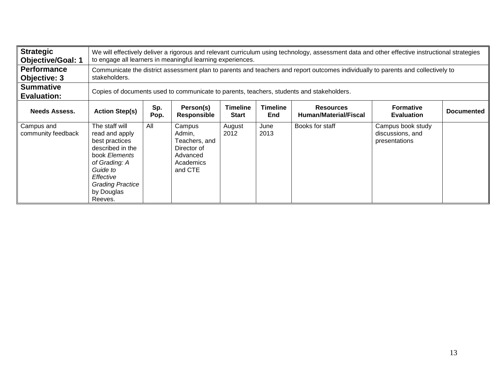| <b>Strategic</b><br><b>Objective/Goal: 1</b> |                                                                                                                                                                                       | We will effectively deliver a rigorous and relevant curriculum using technology, assessment data and other effective instructional strategies<br>to engage all learners in meaningful learning experiences. |                                                                                      |                                 |                               |                                           |                                                        |                   |  |  |  |
|----------------------------------------------|---------------------------------------------------------------------------------------------------------------------------------------------------------------------------------------|-------------------------------------------------------------------------------------------------------------------------------------------------------------------------------------------------------------|--------------------------------------------------------------------------------------|---------------------------------|-------------------------------|-------------------------------------------|--------------------------------------------------------|-------------------|--|--|--|
| <b>Performance</b><br>Objective: 3           | stakeholders.                                                                                                                                                                         | Communicate the district assessment plan to parents and teachers and report outcomes individually to parents and collectively to                                                                            |                                                                                      |                                 |                               |                                           |                                                        |                   |  |  |  |
| <b>Summative</b><br><b>Evaluation:</b>       |                                                                                                                                                                                       | Copies of documents used to communicate to parents, teachers, students and stakeholders.                                                                                                                    |                                                                                      |                                 |                               |                                           |                                                        |                   |  |  |  |
| <b>Needs Assess.</b>                         | <b>Action Step(s)</b>                                                                                                                                                                 | Sp.<br>Pop.                                                                                                                                                                                                 | Person(s)<br>Responsible                                                             | <b>Timeline</b><br><b>Start</b> | <b>Timeline</b><br><b>End</b> | <b>Resources</b><br>Human/Material/Fiscal | <b>Formative</b><br><b>Evaluation</b>                  | <b>Documented</b> |  |  |  |
| Campus and<br>community feedback             | The staff will<br>read and apply<br>best practices<br>described in the<br>book Elements<br>of Grading: A<br>Guide to<br>Effective<br><b>Grading Practice</b><br>by Douglas<br>Reeves. | All                                                                                                                                                                                                         | Campus<br>Admin,<br>Teachers, and<br>Director of<br>Advanced<br>Academics<br>and CTE | August<br>2012                  | June<br>2013                  | Books for staff                           | Campus book study<br>discussions, and<br>presentations |                   |  |  |  |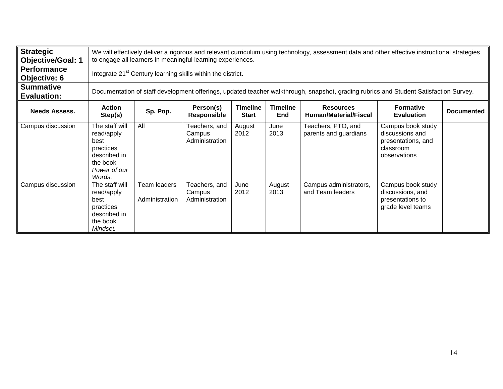| <b>Strategic</b><br><b>Objective/Goal: 1</b> |                                                                                                         | We will effectively deliver a rigorous and relevant curriculum using technology, assessment data and other effective instructional strategies<br>to engage all learners in meaningful learning experiences.                       |                                           |                |                |                                                                                                                                       |                                                                                         |  |  |  |  |
|----------------------------------------------|---------------------------------------------------------------------------------------------------------|-----------------------------------------------------------------------------------------------------------------------------------------------------------------------------------------------------------------------------------|-------------------------------------------|----------------|----------------|---------------------------------------------------------------------------------------------------------------------------------------|-----------------------------------------------------------------------------------------|--|--|--|--|
| <b>Performance</b><br>Objective: 6           |                                                                                                         | Integrate 21 <sup>st</sup> Century learning skills within the district.                                                                                                                                                           |                                           |                |                |                                                                                                                                       |                                                                                         |  |  |  |  |
| <b>Summative</b><br><b>Evaluation:</b>       |                                                                                                         |                                                                                                                                                                                                                                   |                                           |                |                | Documentation of staff development offerings, updated teacher walkthrough, snapshot, grading rubrics and Student Satisfaction Survey. |                                                                                         |  |  |  |  |
| <b>Needs Assess.</b>                         | <b>Action</b><br>Step(s)                                                                                | Person(s)<br><b>Timeline</b><br><b>Timeline</b><br><b>Formative</b><br><b>Resources</b><br>Sp. Pop.<br><b>Documented</b><br><b>Responsible</b><br><b>End</b><br><b>Human/Material/Fiscal</b><br><b>Start</b><br><b>Evaluation</b> |                                           |                |                |                                                                                                                                       |                                                                                         |  |  |  |  |
| Campus discussion                            | The staff will<br>read/apply<br>best<br>practices<br>described in<br>the book<br>Power of our<br>Words. | All                                                                                                                                                                                                                               | Teachers, and<br>Campus<br>Administration | August<br>2012 | June<br>2013   | Teachers, PTO, and<br>parents and guardians                                                                                           | Campus book study<br>discussions and<br>presentations, and<br>classroom<br>observations |  |  |  |  |
| Campus discussion                            | The staff will<br>read/apply<br>best<br>practices<br>described in<br>the book<br>Mindset.               | Team leaders<br>Administration                                                                                                                                                                                                    | Teachers, and<br>Campus<br>Administration | June<br>2012   | August<br>2013 | Campus administrators,<br>and Team leaders                                                                                            | Campus book study<br>discussions, and<br>presentations to<br>grade level teams          |  |  |  |  |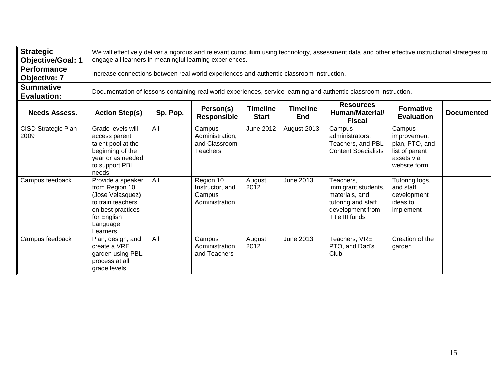| <b>Strategic</b><br><b>Objective/Goal: 1</b> |                                                                                                                                           | We will effectively deliver a rigorous and relevant curriculum using technology, assessment data and other effective instructional strategies to<br>engage all learners in meaningful learning experiences.                           |                                                               |                  |             |                                                                                                                   |                                                                                         |  |  |  |  |
|----------------------------------------------|-------------------------------------------------------------------------------------------------------------------------------------------|---------------------------------------------------------------------------------------------------------------------------------------------------------------------------------------------------------------------------------------|---------------------------------------------------------------|------------------|-------------|-------------------------------------------------------------------------------------------------------------------|-----------------------------------------------------------------------------------------|--|--|--|--|
| <b>Performance</b><br><b>Objective: 7</b>    |                                                                                                                                           | Increase connections between real world experiences and authentic classroom instruction.                                                                                                                                              |                                                               |                  |             |                                                                                                                   |                                                                                         |  |  |  |  |
| <b>Summative</b><br><b>Evaluation:</b>       |                                                                                                                                           |                                                                                                                                                                                                                                       |                                                               |                  |             | Documentation of lessons containing real world experiences, service learning and authentic classroom instruction. |                                                                                         |  |  |  |  |
| <b>Needs Assess.</b>                         | <b>Action Step(s)</b>                                                                                                                     | <b>Resources</b><br>Person(s)<br><b>Timeline</b><br><b>Timeline</b><br><b>Formative</b><br>Sp. Pop.<br>Human/Material/<br><b>Documented</b><br><b>Responsible</b><br><b>Start</b><br><b>End</b><br><b>Evaluation</b><br><b>Fiscal</b> |                                                               |                  |             |                                                                                                                   |                                                                                         |  |  |  |  |
| CISD Strategic Plan<br>2009                  | Grade levels will<br>access parent<br>talent pool at the<br>beginning of the<br>year or as needed<br>to support PBL<br>needs.             | All                                                                                                                                                                                                                                   | Campus<br>Administration,<br>and Classroom<br><b>Teachers</b> | <b>June 2012</b> | August 2013 | Campus<br>administrators,<br>Teachers, and PBL<br><b>Content Specialists</b>                                      | Campus<br>improvement<br>plan, PTO, and<br>list of parent<br>assets via<br>website form |  |  |  |  |
| Campus feedback                              | Provide a speaker<br>from Region 10<br>(Jose Velasquez)<br>to train teachers<br>on best practices<br>for English<br>Language<br>Learners. | All                                                                                                                                                                                                                                   | Region 10<br>Instructor, and<br>Campus<br>Administration      | August<br>2012   | June 2013   | Teachers.<br>immigrant students,<br>materials, and<br>tutoring and staff<br>development from<br>Title III funds   | Tutoring logs,<br>and staff<br>development<br>ideas to<br>implement                     |  |  |  |  |
| Campus feedback                              | Plan, design, and<br>create a VRE<br>garden using PBL<br>process at all<br>grade levels.                                                  | All                                                                                                                                                                                                                                   | Campus<br>Administration,<br>and Teachers                     | August<br>2012   | June 2013   | Teachers, VRE<br>PTO, and Dad's<br>Club                                                                           | Creation of the<br>garden                                                               |  |  |  |  |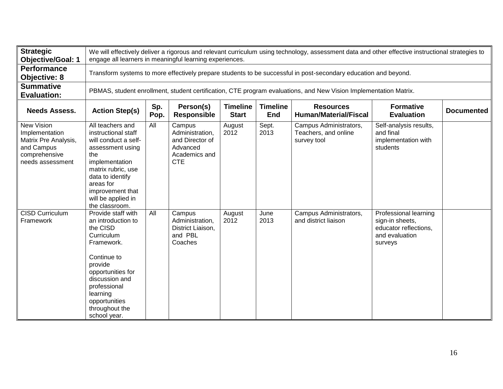| <b>Strategic</b><br><b>Objective/Goal: 1</b>                                                            |                                                                                                                                                                                                                                  | We will effectively deliver a rigorous and relevant curriculum using technology, assessment data and other effective instructional strategies to<br>engage all learners in meaningful learning experiences. |                                                                                         |                                 |                        |                                                                                                                 |                                                                                                |                   |  |  |  |  |
|---------------------------------------------------------------------------------------------------------|----------------------------------------------------------------------------------------------------------------------------------------------------------------------------------------------------------------------------------|-------------------------------------------------------------------------------------------------------------------------------------------------------------------------------------------------------------|-----------------------------------------------------------------------------------------|---------------------------------|------------------------|-----------------------------------------------------------------------------------------------------------------|------------------------------------------------------------------------------------------------|-------------------|--|--|--|--|
| <b>Performance</b><br><b>Objective: 8</b>                                                               |                                                                                                                                                                                                                                  |                                                                                                                                                                                                             |                                                                                         |                                 |                        | Transform systems to more effectively prepare students to be successful in post-secondary education and beyond. |                                                                                                |                   |  |  |  |  |
| <b>Summative</b><br><b>Evaluation:</b>                                                                  |                                                                                                                                                                                                                                  | PBMAS, student enrollment, student certification, CTE program evaluations, and New Vision Implementation Matrix.                                                                                            |                                                                                         |                                 |                        |                                                                                                                 |                                                                                                |                   |  |  |  |  |
| <b>Needs Assess.</b>                                                                                    | <b>Action Step(s)</b>                                                                                                                                                                                                            | Sp.<br>Pop.                                                                                                                                                                                                 | Person(s)<br><b>Responsible</b>                                                         | <b>Timeline</b><br><b>Start</b> | <b>Timeline</b><br>End | <b>Resources</b><br><b>Human/Material/Fiscal</b>                                                                | <b>Formative</b><br><b>Evaluation</b>                                                          | <b>Documented</b> |  |  |  |  |
| New Vision<br>Implementation<br>Matrix Pre Analysis,<br>and Campus<br>comprehensive<br>needs assessment | All teachers and<br>instructional staff<br>will conduct a self-<br>assessment using<br>the<br>implementation<br>matrix rubric, use<br>data to identify<br>areas for<br>improvement that<br>will be applied in<br>the classroom.  | All                                                                                                                                                                                                         | Campus<br>Administration,<br>and Director of<br>Advanced<br>Academics and<br><b>CTE</b> | August<br>2012                  | Sept.<br>2013          | Campus Administrators,<br>Teachers, and online<br>survey tool                                                   | Self-analysis results,<br>and final<br>implementation with<br>students                         |                   |  |  |  |  |
| CISD Curriculum<br>Framework                                                                            | Provide staff with<br>an introduction to<br>the CISD<br>Curriculum<br>Framework.<br>Continue to<br>provide<br>opportunities for<br>discussion and<br>professional<br>learning<br>opportunities<br>throughout the<br>school year. | All                                                                                                                                                                                                         | Campus<br>Administration,<br>District Liaison,<br>and PBL<br>Coaches                    | August<br>2012                  | June<br>2013           | Campus Administrators,<br>and district liaison                                                                  | Professional learning<br>sign-in sheets,<br>educator reflections,<br>and evaluation<br>surveys |                   |  |  |  |  |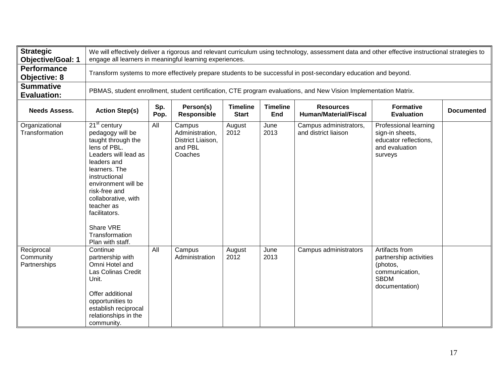| <b>Strategic</b><br><b>Objective/Goal: 1</b> | We will effectively deliver a rigorous and relevant curriculum using technology, assessment data and other effective instructional strategies to<br>engage all learners in meaningful learning experiences.                                                                                        |             |                                                                      |                                 |                               |                                                                                                                  |                                                                                                         |                   |
|----------------------------------------------|----------------------------------------------------------------------------------------------------------------------------------------------------------------------------------------------------------------------------------------------------------------------------------------------------|-------------|----------------------------------------------------------------------|---------------------------------|-------------------------------|------------------------------------------------------------------------------------------------------------------|---------------------------------------------------------------------------------------------------------|-------------------|
| <b>Performance</b><br><b>Objective: 8</b>    |                                                                                                                                                                                                                                                                                                    |             |                                                                      |                                 |                               | Transform systems to more effectively prepare students to be successful in post-secondary education and beyond.  |                                                                                                         |                   |
| <b>Summative</b><br><b>Evaluation:</b>       |                                                                                                                                                                                                                                                                                                    |             |                                                                      |                                 |                               | PBMAS, student enrollment, student certification, CTE program evaluations, and New Vision Implementation Matrix. |                                                                                                         |                   |
| <b>Needs Assess.</b>                         | <b>Action Step(s)</b>                                                                                                                                                                                                                                                                              | Sp.<br>Pop. | Person(s)<br><b>Responsible</b>                                      | <b>Timeline</b><br><b>Start</b> | <b>Timeline</b><br><b>End</b> | <b>Resources</b><br><b>Human/Material/Fiscal</b>                                                                 | <b>Formative</b><br><b>Evaluation</b>                                                                   | <b>Documented</b> |
| Organizational<br>Transformation             | $21st$ century<br>pedagogy will be<br>taught through the<br>lens of PBL.<br>Leaders will lead as<br>leaders and<br>learners. The<br>instructional<br>environment will be<br>risk-free and<br>collaborative, with<br>teacher as<br>facilitators.<br>Share VRE<br>Transformation<br>Plan with staff. | All         | Campus<br>Administration,<br>District Liaison,<br>and PBL<br>Coaches | August<br>2012                  | June<br>2013                  | Campus administrators,<br>and district liaison                                                                   | Professional learning<br>sign-in sheets,<br>educator reflections.<br>and evaluation<br>surveys          |                   |
| Reciprocal<br>Community<br>Partnerships      | Continue<br>partnership with<br>Omni Hotel and<br>Las Colinas Credit<br>Unit.<br>Offer additional<br>opportunities to<br>establish reciprocal<br>relationships in the<br>community.                                                                                                                | All         | Campus<br>Administration                                             | August<br>2012                  | June<br>2013                  | Campus administrators                                                                                            | Artifacts from<br>partnership activities<br>(photos,<br>communication,<br><b>SBDM</b><br>documentation) |                   |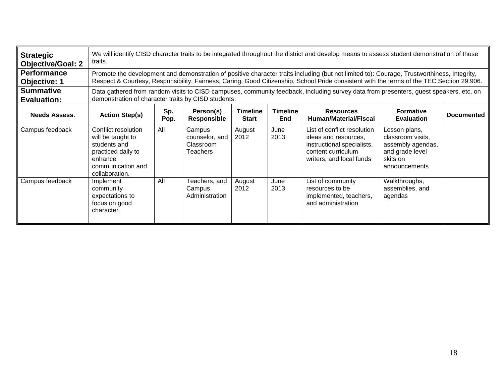| <b>Strategic</b><br><b>Objective/Goal: 2</b> | We will identify CISD character traits to be integrated throughout the district and develop means to assess student demonstration of those<br>traits. |                                                                                                                                                                                              |                                                   |                                 |                        |                                                                                                                                                                                                                                                                                          |                                                                                                         |                   |
|----------------------------------------------|-------------------------------------------------------------------------------------------------------------------------------------------------------|----------------------------------------------------------------------------------------------------------------------------------------------------------------------------------------------|---------------------------------------------------|---------------------------------|------------------------|------------------------------------------------------------------------------------------------------------------------------------------------------------------------------------------------------------------------------------------------------------------------------------------|---------------------------------------------------------------------------------------------------------|-------------------|
| <b>Performance</b><br><b>Objective: 1</b>    |                                                                                                                                                       |                                                                                                                                                                                              |                                                   |                                 |                        | Promote the development and demonstration of positive character traits including (but not limited to): Courage, Trustworthiness, Integrity,<br>Respect & Courtesy, Responsibility, Fairness, Caring, Good Citizenship, School Pride consistent with the terms of the TEC Section 29.906. |                                                                                                         |                   |
| <b>Summative</b><br><b>Evaluation:</b>       |                                                                                                                                                       | Data gathered from random visits to CISD campuses, community feedback, including survey data from presenters, guest speakers, etc, on<br>demonstration of character traits by CISD students. |                                                   |                                 |                        |                                                                                                                                                                                                                                                                                          |                                                                                                         |                   |
| <b>Needs Assess.</b>                         | <b>Action Step(s)</b>                                                                                                                                 | Sp.<br>Pop.                                                                                                                                                                                  | Person(s)<br><b>Responsible</b>                   | <b>Timeline</b><br><b>Start</b> | <b>Timeline</b><br>End | <b>Resources</b><br><b>Human/Material/Fiscal</b>                                                                                                                                                                                                                                         | <b>Formative</b><br><b>Evaluation</b>                                                                   | <b>Documented</b> |
| Campus feedback                              | Conflict resolution<br>will be taught to<br>students and<br>practiced daily to<br>enhance<br>communication and<br>collaboration.                      | All                                                                                                                                                                                          | Campus<br>counselor, and<br>Classroom<br>Teachers | August<br>2012                  | June<br>2013           | List of conflict resolution<br>ideas and resources,<br>instructional specialists,<br>content curriculum<br>writers, and local funds                                                                                                                                                      | Lesson plans,<br>classroom visits.<br>assembly agendas,<br>and grade level<br>skits on<br>announcements |                   |
| Campus feedback                              | Implement<br>community<br>expectations to<br>focus on good<br>character.                                                                              | All                                                                                                                                                                                          | Teachers, and<br>Campus<br>Administration         | August<br>2012                  | June<br>2013           | List of community<br>resources to be<br>implemented, teachers,<br>and administration                                                                                                                                                                                                     | Walkthroughs,<br>assemblies, and<br>agendas                                                             |                   |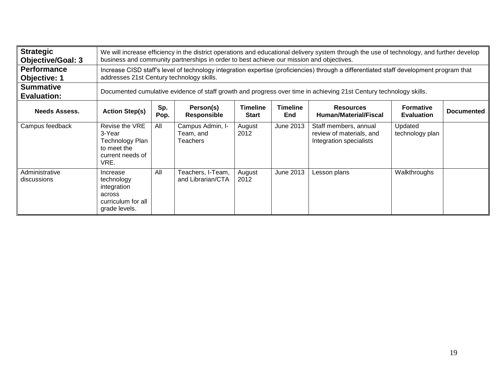| <b>Strategic</b><br><b>Objective/Goal: 3</b> |                                                                                        | We will increase efficiency in the district operations and educational delivery system through the use of technology, and further develop<br>business and community partnerships in order to best achieve our mission and objectives. |                                           |                                 |                               |                                                                                                                                         |                                       |                   |  |
|----------------------------------------------|----------------------------------------------------------------------------------------|---------------------------------------------------------------------------------------------------------------------------------------------------------------------------------------------------------------------------------------|-------------------------------------------|---------------------------------|-------------------------------|-----------------------------------------------------------------------------------------------------------------------------------------|---------------------------------------|-------------------|--|
| <b>Performance</b><br><b>Objective: 1</b>    | addresses 21st Century technology skills.                                              |                                                                                                                                                                                                                                       |                                           |                                 |                               | Increase CISD staff's level of technology integration expertise (proficiencies) through a differentiated staff development program that |                                       |                   |  |
| <b>Summative</b><br><b>Evaluation:</b>       |                                                                                        | Documented cumulative evidence of staff growth and progress over time in achieving 21st Century technology skills.                                                                                                                    |                                           |                                 |                               |                                                                                                                                         |                                       |                   |  |
| <b>Needs Assess.</b>                         | <b>Action Step(s)</b>                                                                  | Sp.<br>Pop.                                                                                                                                                                                                                           | Person(s)<br><b>Responsible</b>           | <b>Timeline</b><br><b>Start</b> | <b>Timeline</b><br><b>End</b> | <b>Resources</b><br>Human/Material/Fiscal                                                                                               | <b>Formative</b><br><b>Evaluation</b> | <b>Documented</b> |  |
| Campus feedback                              | Revise the VRE<br>3-Year<br>Technology Plan<br>to meet the<br>current needs of<br>VRE. | All                                                                                                                                                                                                                                   | Campus Admin, I-<br>Team, and<br>Teachers | August<br>2012                  | June 2013                     | Staff members, annual<br>review of materials, and<br>Integration specialists                                                            | Updated<br>technology plan            |                   |  |
| Administrative<br>discussions                | Increase<br>technology<br>integration<br>across<br>curriculum for all<br>grade levels. | All                                                                                                                                                                                                                                   | Teachers, I-Team,<br>and Librarian/CTA    | August<br>2012                  | June 2013                     | Lesson plans                                                                                                                            | Walkthroughs                          |                   |  |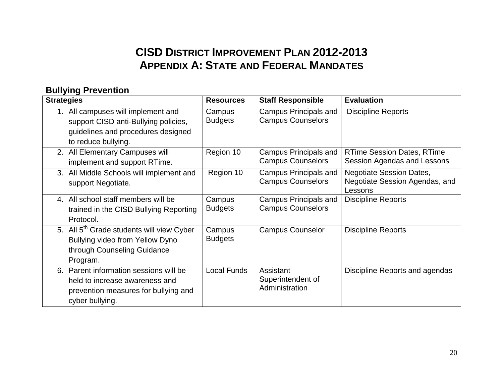# **CISD DISTRICT IMPROVEMENT PLAN 2012-2013 APPENDIX A: STATE AND FEDERAL MANDATES**

#### **Bullying Prevention**

| <b>Strategies</b> |                                                                                                                                            | <b>Resources</b>         | <b>Staff Responsible</b>                                 | <b>Evaluation</b>                                                            |
|-------------------|--------------------------------------------------------------------------------------------------------------------------------------------|--------------------------|----------------------------------------------------------|------------------------------------------------------------------------------|
| 1.                | All campuses will implement and<br>support CISD anti-Bullying policies,<br>guidelines and procedures designed<br>to reduce bullying.       | Campus<br><b>Budgets</b> | <b>Campus Principals and</b><br><b>Campus Counselors</b> | <b>Discipline Reports</b>                                                    |
|                   | 2. All Elementary Campuses will<br>implement and support RTime.                                                                            | Region 10                | <b>Campus Principals and</b><br><b>Campus Counselors</b> | <b>RTime Session Dates, RTime</b><br>Session Agendas and Lessons             |
|                   | 3. All Middle Schools will implement and<br>support Negotiate.                                                                             | Region 10                | <b>Campus Principals and</b><br><b>Campus Counselors</b> | <b>Negotiate Session Dates,</b><br>Negotiate Session Agendas, and<br>Lessons |
|                   | 4. All school staff members will be<br>trained in the CISD Bullying Reporting<br>Protocol.                                                 | Campus<br><b>Budgets</b> | <b>Campus Principals and</b><br><b>Campus Counselors</b> | <b>Discipline Reports</b>                                                    |
|                   | 5. All 5 <sup>th</sup> Grade students will view Cyber<br><b>Bullying video from Yellow Dyno</b><br>through Counseling Guidance<br>Program. | Campus<br><b>Budgets</b> | <b>Campus Counselor</b>                                  | <b>Discipline Reports</b>                                                    |
| 6.                | Parent information sessions will be<br>held to increase awareness and<br>prevention measures for bullying and<br>cyber bullying.           | <b>Local Funds</b>       | Assistant<br>Superintendent of<br>Administration         | Discipline Reports and agendas                                               |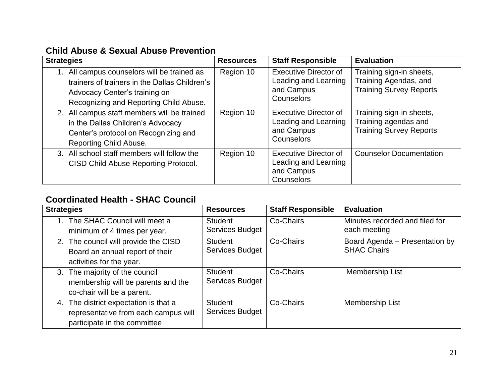#### **Child Abuse & Sexual Abuse Prevention**

| <b>Strategies</b>                                                                                                                                                    | <b>Resources</b> | <b>Staff Responsible</b>                                                         | <b>Evaluation</b>                                                                   |
|----------------------------------------------------------------------------------------------------------------------------------------------------------------------|------------------|----------------------------------------------------------------------------------|-------------------------------------------------------------------------------------|
| All campus counselors will be trained as<br>trainers of trainers in the Dallas Children's<br>Advocacy Center's training on<br>Recognizing and Reporting Child Abuse. | Region 10        | <b>Executive Director of</b><br>Leading and Learning<br>and Campus<br>Counselors | Training sign-in sheets,<br>Training Agendas, and<br><b>Training Survey Reports</b> |
| 2. All campus staff members will be trained<br>in the Dallas Children's Advocacy<br>Center's protocol on Recognizing and<br>Reporting Child Abuse.                   | Region 10        | <b>Executive Director of</b><br>Leading and Learning<br>and Campus<br>Counselors | Training sign-in sheets,<br>Training agendas and<br><b>Training Survey Reports</b>  |
| 3. All school staff members will follow the<br><b>CISD Child Abuse Reporting Protocol.</b>                                                                           | Region 10        | <b>Executive Director of</b><br>Leading and Learning<br>and Campus<br>Counselors | <b>Counselor Documentation</b>                                                      |

#### **Coordinated Health - SHAC Council**

| <b>Strategies</b>                                                                                             | <b>Resources</b>                         | <b>Staff Responsible</b> | <b>Evaluation</b>                                    |
|---------------------------------------------------------------------------------------------------------------|------------------------------------------|--------------------------|------------------------------------------------------|
| The SHAC Council will meet a<br>minimum of 4 times per year.                                                  | <b>Student</b><br>Services Budget        | Co-Chairs                | Minutes recorded and filed for<br>each meeting       |
| 2. The council will provide the CISD<br>Board an annual report of their<br>activities for the year.           | Student<br>Services Budget               | Co-Chairs                | Board Agenda - Presentation by<br><b>SHAC Chairs</b> |
| 3. The majority of the council<br>membership will be parents and the<br>co-chair will be a parent.            | <b>Student</b><br><b>Services Budget</b> | Co-Chairs                | Membership List                                      |
| 4. The district expectation is that a<br>representative from each campus will<br>participate in the committee | <b>Student</b><br><b>Services Budget</b> | Co-Chairs                | Membership List                                      |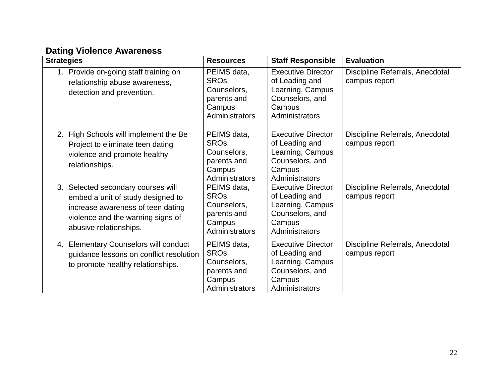#### **Dating Violence Awareness**

| <b>Strategies</b>                                                                                                                                                           | <b>Resources</b>                                                                            | <b>Staff Responsible</b>                                                                                       | <b>Evaluation</b>                                |
|-----------------------------------------------------------------------------------------------------------------------------------------------------------------------------|---------------------------------------------------------------------------------------------|----------------------------------------------------------------------------------------------------------------|--------------------------------------------------|
| 1. Provide on-going staff training on<br>relationship abuse awareness,<br>detection and prevention.                                                                         | PEIMS data,<br>SRO <sub>s</sub> ,<br>Counselors,<br>parents and<br>Campus<br>Administrators | <b>Executive Director</b><br>of Leading and<br>Learning, Campus<br>Counselors, and<br>Campus<br>Administrators | Discipline Referrals, Anecdotal<br>campus report |
| High Schools will implement the Be<br>2.<br>Project to eliminate teen dating<br>violence and promote healthy<br>relationships.                                              | PEIMS data,<br>SRO <sub>s</sub><br>Counselors,<br>parents and<br>Campus<br>Administrators   | <b>Executive Director</b><br>of Leading and<br>Learning, Campus<br>Counselors, and<br>Campus<br>Administrators | Discipline Referrals, Anecdotal<br>campus report |
| 3. Selected secondary courses will<br>embed a unit of study designed to<br>increase awareness of teen dating<br>violence and the warning signs of<br>abusive relationships. | PEIMS data,<br>SRO <sub>s</sub><br>Counselors,<br>parents and<br>Campus<br>Administrators   | <b>Executive Director</b><br>of Leading and<br>Learning, Campus<br>Counselors, and<br>Campus<br>Administrators | Discipline Referrals, Anecdotal<br>campus report |
| 4. Elementary Counselors will conduct<br>guidance lessons on conflict resolution<br>to promote healthy relationships.                                                       | PEIMS data,<br>SRO <sub>s</sub><br>Counselors,<br>parents and<br>Campus<br>Administrators   | <b>Executive Director</b><br>of Leading and<br>Learning, Campus<br>Counselors, and<br>Campus<br>Administrators | Discipline Referrals, Anecdotal<br>campus report |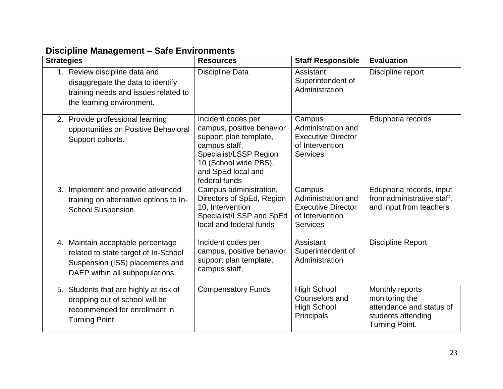|  |  | Discipline Management - Safe Environments |  |
|--|--|-------------------------------------------|--|
|  |  |                                           |  |

| <b>Strategies</b> | _                                                                                                                                               | <b>Resources</b>                                                                                                                                                                     | <b>Staff Responsible</b>                                                                        | <b>Evaluation</b>                                                                                     |
|-------------------|-------------------------------------------------------------------------------------------------------------------------------------------------|--------------------------------------------------------------------------------------------------------------------------------------------------------------------------------------|-------------------------------------------------------------------------------------------------|-------------------------------------------------------------------------------------------------------|
|                   | 1. Review discipline data and<br>disaggregate the data to identify<br>training needs and issues related to<br>the learning environment.         | <b>Discipline Data</b>                                                                                                                                                               | Assistant<br>Superintendent of<br>Administration                                                | Discipline report                                                                                     |
|                   | 2. Provide professional learning<br>opportunities on Positive Behavioral<br>Support cohorts.                                                    | Incident codes per<br>campus, positive behavior<br>support plan template,<br>campus staff,<br>Specialist/LSSP Region<br>10 (School wide PBS),<br>and SpEd local and<br>federal funds | Campus<br>Administration and<br><b>Executive Director</b><br>of Intervention<br><b>Services</b> | Eduphoria records                                                                                     |
| 3.                | Implement and provide advanced<br>training on alternative options to In-<br>School Suspension.                                                  | Campus administration,<br>Directors of SpEd, Region<br>10, Intervention<br>Specialist/LSSP and SpEd<br>local and federal funds                                                       | Campus<br>Administration and<br><b>Executive Director</b><br>of Intervention<br><b>Services</b> | Eduphoria records, input<br>from administrative staff,<br>and input from teachers                     |
|                   | 4. Maintain acceptable percentage<br>related to state target of In-School<br>Suspension (ISS) placements and<br>DAEP within all subpopulations. | Incident codes per<br>campus, positive behavior<br>support plan template,<br>campus staff,                                                                                           | Assistant<br>Superintendent of<br>Administration                                                | <b>Discipline Report</b>                                                                              |
|                   | 5. Students that are highly at risk of<br>dropping out of school will be<br>recommended for enrollment in<br><b>Turning Point.</b>              | <b>Compensatory Funds</b>                                                                                                                                                            | <b>High School</b><br>Counselors and<br><b>High School</b><br>Principals                        | Monthly reports<br>monitoring the<br>attendance and status of<br>students attending<br>Turning Point. |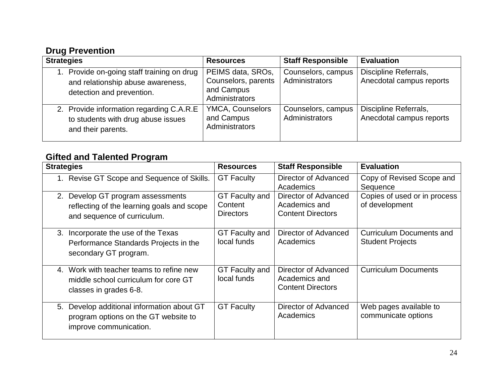#### **Drug Prevention**

| <b>Strategies</b>                                                                                         | <b>Resources</b>                                                         | <b>Staff Responsible</b>             | <b>Evaluation</b>                                 |
|-----------------------------------------------------------------------------------------------------------|--------------------------------------------------------------------------|--------------------------------------|---------------------------------------------------|
| Provide on-going staff training on drug<br>and relationship abuse awareness,<br>detection and prevention. | PEIMS data, SROs,<br>Counselors, parents<br>and Campus<br>Administrators | Counselors, campus<br>Administrators | Discipline Referrals,<br>Anecdotal campus reports |
| 2. Provide information regarding C.A.R.E<br>to students with drug abuse issues<br>and their parents.      | YMCA, Counselors<br>and Campus<br>Administrators                         | Counselors, campus<br>Administrators | Discipline Referrals,<br>Anecdotal campus reports |

#### **Gifted and Talented Program**

| <b>Strategies</b>                                                                                                       | <b>Resources</b>                              | <b>Staff Responsible</b>                                          | <b>Evaluation</b>                                          |
|-------------------------------------------------------------------------------------------------------------------------|-----------------------------------------------|-------------------------------------------------------------------|------------------------------------------------------------|
| Revise GT Scope and Sequence of Skills.                                                                                 | <b>GT Faculty</b>                             | Director of Advanced<br>Academics                                 | Copy of Revised Scope and<br>Sequence                      |
| Develop GT program assessments<br>2.<br>reflecting of the learning goals and scope<br>and sequence of curriculum.       | GT Faculty and<br>Content<br><b>Directors</b> | Director of Advanced<br>Academics and<br><b>Content Directors</b> | Copies of used or in process<br>of development             |
| Incorporate the use of the Texas<br>3.<br>Performance Standards Projects in the<br>secondary GT program.                | <b>GT Faculty and</b><br>local funds          | Director of Advanced<br>Academics                                 | <b>Curriculum Documents and</b><br><b>Student Projects</b> |
| Work with teacher teams to refine new<br>$\mathbf{A}$<br>middle school curriculum for core GT<br>classes in grades 6-8. | <b>GT Faculty and</b><br>local funds          | Director of Advanced<br>Academics and<br><b>Content Directors</b> | <b>Curriculum Documents</b>                                |
| Develop additional information about GT<br>5.<br>program options on the GT website to<br>improve communication.         | <b>GT Faculty</b>                             | Director of Advanced<br>Academics                                 | Web pages available to<br>communicate options              |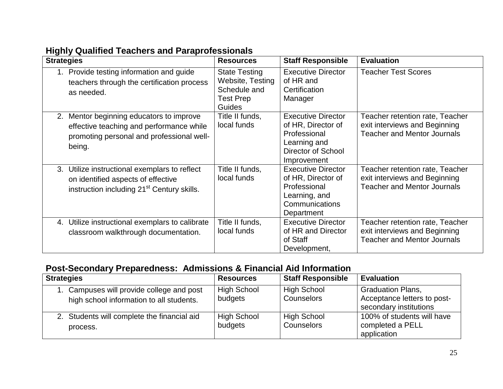| יישייייש לייפי                                                                                                                                 |                                                                                               |                                                                                                                             |                                                                                                        |  |  |  |  |
|------------------------------------------------------------------------------------------------------------------------------------------------|-----------------------------------------------------------------------------------------------|-----------------------------------------------------------------------------------------------------------------------------|--------------------------------------------------------------------------------------------------------|--|--|--|--|
| <b>Strategies</b>                                                                                                                              | <b>Resources</b>                                                                              | <b>Staff Responsible</b>                                                                                                    | <b>Evaluation</b>                                                                                      |  |  |  |  |
| 1. Provide testing information and guide<br>teachers through the certification process<br>as needed.                                           | <b>State Testing</b><br>Website, Testing<br>Schedule and<br><b>Test Prep</b><br><b>Guides</b> | <b>Executive Director</b><br>of HR and<br>Certification<br>Manager                                                          | <b>Teacher Test Scores</b>                                                                             |  |  |  |  |
| Mentor beginning educators to improve<br>2.<br>effective teaching and performance while<br>promoting personal and professional well-<br>being. | Title II funds,<br>local funds                                                                | <b>Executive Director</b><br>of HR, Director of<br>Professional<br>Learning and<br><b>Director of School</b><br>Improvement | Teacher retention rate, Teacher<br>exit interviews and Beginning<br><b>Teacher and Mentor Journals</b> |  |  |  |  |
| 3. Utilize instructional exemplars to reflect<br>on identified aspects of effective<br>instruction including 21 <sup>st</sup> Century skills.  | Title II funds,<br>local funds                                                                | <b>Executive Director</b><br>of HR, Director of<br>Professional<br>Learning, and<br>Communications<br>Department            | Teacher retention rate, Teacher<br>exit interviews and Beginning<br><b>Teacher and Mentor Journals</b> |  |  |  |  |
| 4. Utilize instructional exemplars to calibrate<br>classroom walkthrough documentation.                                                        | Title II funds,<br>local funds                                                                | <b>Executive Director</b><br>of HR and Director<br>of Staff<br>Development,                                                 | Teacher retention rate, Teacher<br>exit interviews and Beginning<br><b>Teacher and Mentor Journals</b> |  |  |  |  |

#### **Highly Qualified Teachers and Paraprofessionals**

## **Post-Secondary Preparedness: Admissions & Financial Aid Information**

| <b>Strategies</b>                                                                     | <b>Resources</b>              | <b>Staff Responsible</b>         | <b>Evaluation</b>                                                                 |
|---------------------------------------------------------------------------------------|-------------------------------|----------------------------------|-----------------------------------------------------------------------------------|
| 1. Campuses will provide college and post<br>high school information to all students. | <b>High School</b><br>budgets | <b>High School</b><br>Counselors | <b>Graduation Plans,</b><br>Acceptance letters to post-<br>secondary institutions |
| 2. Students will complete the financial aid<br>process.                               | <b>High School</b><br>budgets | <b>High School</b><br>Counselors | 100% of students will have<br>completed a PELL<br>application                     |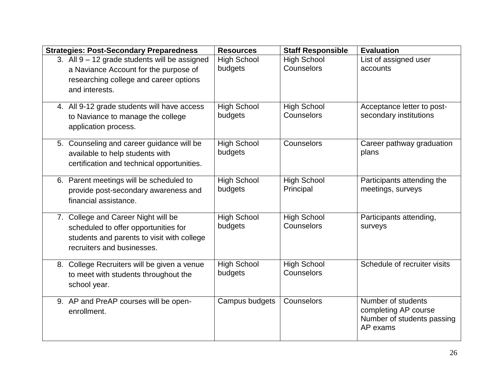| <b>Strategies: Post-Secondary Preparedness</b>                                   | <b>Resources</b>   | <b>Staff Responsible</b> | <b>Evaluation</b>            |
|----------------------------------------------------------------------------------|--------------------|--------------------------|------------------------------|
| 3. All 9 - 12 grade students will be assigned                                    | <b>High School</b> | <b>High School</b>       | List of assigned user        |
| a Naviance Account for the purpose of                                            | budgets            | Counselors               | accounts                     |
| researching college and career options                                           |                    |                          |                              |
| and interests.                                                                   |                    |                          |                              |
|                                                                                  | <b>High School</b> | <b>High School</b>       | Acceptance letter to post-   |
| 4. All 9-12 grade students will have access<br>to Naviance to manage the college | budgets            | Counselors               | secondary institutions       |
|                                                                                  |                    |                          |                              |
| application process.                                                             |                    |                          |                              |
| 5. Counseling and career guidance will be                                        | <b>High School</b> | Counselors               | Career pathway graduation    |
| available to help students with                                                  | budgets            |                          | plans                        |
| certification and technical opportunities.                                       |                    |                          |                              |
|                                                                                  |                    |                          |                              |
| 6. Parent meetings will be scheduled to                                          | <b>High School</b> | <b>High School</b>       | Participants attending the   |
| provide post-secondary awareness and                                             | budgets            | Principal                | meetings, surveys            |
| financial assistance.                                                            |                    |                          |                              |
| 7. College and Career Night will be                                              | <b>High School</b> | <b>High School</b>       | Participants attending,      |
| scheduled to offer opportunities for                                             | budgets            | Counselors               | surveys                      |
| students and parents to visit with college                                       |                    |                          |                              |
| recruiters and businesses.                                                       |                    |                          |                              |
|                                                                                  |                    |                          |                              |
| 8. College Recruiters will be given a venue                                      | <b>High School</b> | <b>High School</b>       | Schedule of recruiter visits |
| to meet with students throughout the                                             | budgets            | Counselors               |                              |
| school year.                                                                     |                    |                          |                              |
| 9. AP and PreAP courses will be open-                                            | Campus budgets     | Counselors               | Number of students           |
| enrollment.                                                                      |                    |                          | completing AP course         |
|                                                                                  |                    |                          | Number of students passing   |
|                                                                                  |                    |                          | AP exams                     |
|                                                                                  |                    |                          |                              |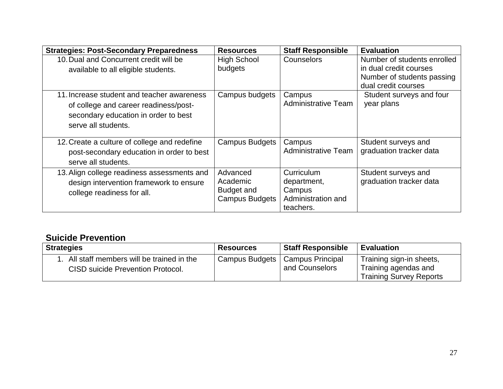| <b>Strategies: Post-Secondary Preparedness</b>                                                                                                     | <b>Resources</b>                                            | <b>Staff Responsible</b>                                               | <b>Evaluation</b>                                                                   |
|----------------------------------------------------------------------------------------------------------------------------------------------------|-------------------------------------------------------------|------------------------------------------------------------------------|-------------------------------------------------------------------------------------|
| 10. Dual and Concurrent credit will be<br>available to all eligible students.                                                                      | <b>High School</b><br>budgets                               | Counselors                                                             | Number of students enrolled<br>in dual credit courses<br>Number of students passing |
| 11. Increase student and teacher awareness<br>of college and career readiness/post-<br>secondary education in order to best<br>serve all students. | Campus budgets                                              | Campus<br><b>Administrative Team</b>                                   | dual credit courses<br>Student surveys and four<br>year plans                       |
| 12. Create a culture of college and redefine<br>post-secondary education in order to best<br>serve all students.                                   | <b>Campus Budgets</b>                                       | Campus<br><b>Administrative Team</b>                                   | Student surveys and<br>graduation tracker data                                      |
| 13. Align college readiness assessments and<br>design intervention framework to ensure<br>college readiness for all.                               | Advanced<br>Academic<br>Budget and<br><b>Campus Budgets</b> | Curriculum<br>department,<br>Campus<br>Administration and<br>teachers. | Student surveys and<br>graduation tracker data                                      |

#### **Suicide Prevention**

| <b>Strategies</b>                                                             | <b>Resources</b> | <b>Staff Responsible</b>           | <b>Evaluation</b>                                                                  |
|-------------------------------------------------------------------------------|------------------|------------------------------------|------------------------------------------------------------------------------------|
| All staff members will be trained in the<br>CISD suicide Prevention Protocol. | Campus Budgets   | Campus Principal<br>and Counselors | Training sign-in sheets,<br>Training agendas and<br><b>Training Survey Reports</b> |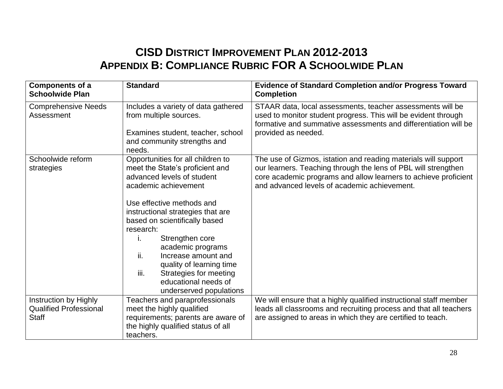# **CISD DISTRICT IMPROVEMENT PLAN 2012-2013 APPENDIX B: COMPLIANCE RUBRIC FOR A SCHOOLWIDE PLAN**

| Components of a<br><b>Schoolwide Plan</b>                              | <b>Standard</b>                                                                                                                                                                                                                                                                                                                                                                                                                         | <b>Evidence of Standard Completion and/or Progress Toward</b><br><b>Completion</b>                                                                                                                                                                  |
|------------------------------------------------------------------------|-----------------------------------------------------------------------------------------------------------------------------------------------------------------------------------------------------------------------------------------------------------------------------------------------------------------------------------------------------------------------------------------------------------------------------------------|-----------------------------------------------------------------------------------------------------------------------------------------------------------------------------------------------------------------------------------------------------|
| <b>Comprehensive Needs</b><br>Assessment                               | Includes a variety of data gathered<br>from multiple sources.                                                                                                                                                                                                                                                                                                                                                                           | STAAR data, local assessments, teacher assessments will be<br>used to monitor student progress. This will be evident through<br>formative and summative assessments and differentiation will be                                                     |
|                                                                        | Examines student, teacher, school<br>and community strengths and<br>needs.                                                                                                                                                                                                                                                                                                                                                              | provided as needed.                                                                                                                                                                                                                                 |
| Schoolwide reform<br>strategies                                        | Opportunities for all children to<br>meet the State's proficient and<br>advanced levels of student<br>academic achievement<br>Use effective methods and<br>instructional strategies that are<br>based on scientifically based<br>research:<br>Strengthen core<br>Τ.<br>academic programs<br>ii.<br>Increase amount and<br>quality of learning time<br>iii.<br>Strategies for meeting<br>educational needs of<br>underserved populations | The use of Gizmos, istation and reading materials will support<br>our learners. Teaching through the lens of PBL will strengthen<br>core academic programs and allow learners to achieve proficient<br>and advanced levels of academic achievement. |
| Instruction by Highly<br><b>Qualified Professional</b><br><b>Staff</b> | Teachers and paraprofessionals<br>meet the highly qualified<br>requirements; parents are aware of<br>the highly qualified status of all<br>teachers.                                                                                                                                                                                                                                                                                    | We will ensure that a highly qualified instructional staff member<br>leads all classrooms and recruiting process and that all teachers<br>are assigned to areas in which they are certified to teach.                                               |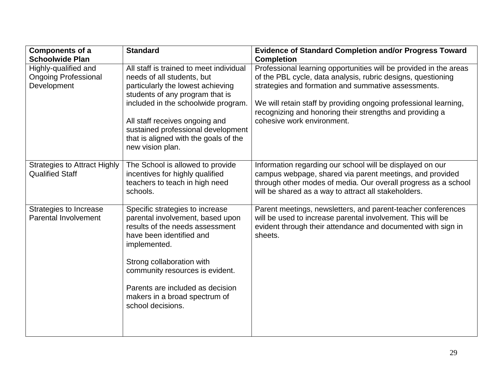| <b>Components of a</b><br><b>Schoolwide Plan</b>                   | <b>Standard</b>                                                                                                                                                                                                                                                                                                           | <b>Evidence of Standard Completion and/or Progress Toward</b><br><b>Completion</b>                                                                                                                                                                                                                                                                     |
|--------------------------------------------------------------------|---------------------------------------------------------------------------------------------------------------------------------------------------------------------------------------------------------------------------------------------------------------------------------------------------------------------------|--------------------------------------------------------------------------------------------------------------------------------------------------------------------------------------------------------------------------------------------------------------------------------------------------------------------------------------------------------|
| Highly-qualified and<br><b>Ongoing Professional</b><br>Development | All staff is trained to meet individual<br>needs of all students, but<br>particularly the lowest achieving<br>students of any program that is<br>included in the schoolwide program.<br>All staff receives ongoing and<br>sustained professional development<br>that is aligned with the goals of the<br>new vision plan. | Professional learning opportunities will be provided in the areas<br>of the PBL cycle, data analysis, rubric designs, questioning<br>strategies and formation and summative assessments.<br>We will retain staff by providing ongoing professional learning,<br>recognizing and honoring their strengths and providing a<br>cohesive work environment. |
| <b>Strategies to Attract Highly</b><br><b>Qualified Staff</b>      | The School is allowed to provide<br>incentives for highly qualified<br>teachers to teach in high need<br>schools.                                                                                                                                                                                                         | Information regarding our school will be displayed on our<br>campus webpage, shared via parent meetings, and provided<br>through other modes of media. Our overall progress as a school<br>will be shared as a way to attract all stakeholders.                                                                                                        |
| Strategies to Increase<br><b>Parental Involvement</b>              | Specific strategies to increase<br>parental involvement, based upon<br>results of the needs assessment<br>have been identified and<br>implemented.<br>Strong collaboration with<br>community resources is evident.<br>Parents are included as decision<br>makers in a broad spectrum of<br>school decisions.              | Parent meetings, newsletters, and parent-teacher conferences<br>will be used to increase parental involvement. This will be<br>evident through their attendance and documented with sign in<br>sheets.                                                                                                                                                 |